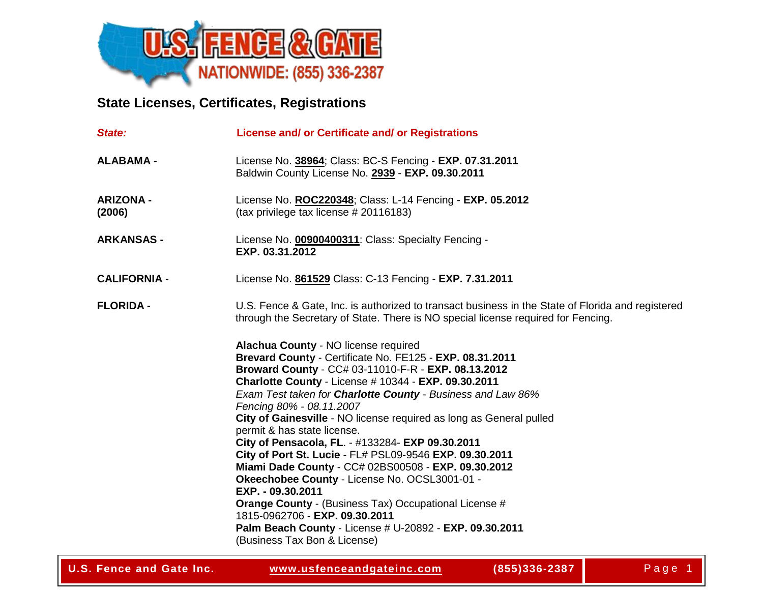

## **State Licenses, Certificates, Registrations**

| State:                     | License and/ or Certificate and/ or Registrations                                                                                                                                                                                                                                                                                                                                                                                                                                                                                                                                                                                                                                                                                                                                                                                                         |
|----------------------------|-----------------------------------------------------------------------------------------------------------------------------------------------------------------------------------------------------------------------------------------------------------------------------------------------------------------------------------------------------------------------------------------------------------------------------------------------------------------------------------------------------------------------------------------------------------------------------------------------------------------------------------------------------------------------------------------------------------------------------------------------------------------------------------------------------------------------------------------------------------|
| <b>ALABAMA -</b>           | License No. 38964; Class: BC-S Fencing - EXP. 07.31.2011<br>Baldwin County License No. 2939 - EXP. 09.30.2011                                                                                                                                                                                                                                                                                                                                                                                                                                                                                                                                                                                                                                                                                                                                             |
| <b>ARIZONA -</b><br>(2006) | License No. ROC220348; Class: L-14 Fencing - EXP. 05.2012<br>(tax privilege tax license # 20116183)                                                                                                                                                                                                                                                                                                                                                                                                                                                                                                                                                                                                                                                                                                                                                       |
| <b>ARKANSAS -</b>          | License No. 00900400311: Class: Specialty Fencing -<br>EXP. 03.31.2012                                                                                                                                                                                                                                                                                                                                                                                                                                                                                                                                                                                                                                                                                                                                                                                    |
| <b>CALIFORNIA -</b>        | License No. 861529 Class: C-13 Fencing - EXP. 7.31.2011                                                                                                                                                                                                                                                                                                                                                                                                                                                                                                                                                                                                                                                                                                                                                                                                   |
| <b>FLORIDA -</b>           | U.S. Fence & Gate, Inc. is authorized to transact business in the State of Florida and registered<br>through the Secretary of State. There is NO special license required for Fencing.                                                                                                                                                                                                                                                                                                                                                                                                                                                                                                                                                                                                                                                                    |
|                            | Alachua County - NO license required<br>Brevard County - Certificate No. FE125 - EXP. 08.31.2011<br>Broward County - CC# 03-11010-F-R - EXP. 08.13.2012<br>Charlotte County - License # 10344 - EXP. 09.30.2011<br>Exam Test taken for Charlotte County - Business and Law 86%<br>Fencing 80% - 08.11.2007<br>City of Gainesville - NO license required as long as General pulled<br>permit & has state license.<br>City of Pensacola, FL. - #133284- EXP 09.30.2011<br>City of Port St. Lucie - FL# PSL09-9546 EXP. 09.30.2011<br>Miami Dade County - CC# 02BS00508 - EXP. 09.30.2012<br>Okeechobee County - License No. OCSL3001-01 -<br>EXP. - 09.30.2011<br><b>Orange County - (Business Tax) Occupational License #</b><br>1815-0962706 - EXP. 09.30.2011<br>Palm Beach County - License # U-20892 - EXP. 09.30.2011<br>(Business Tax Bon & License) |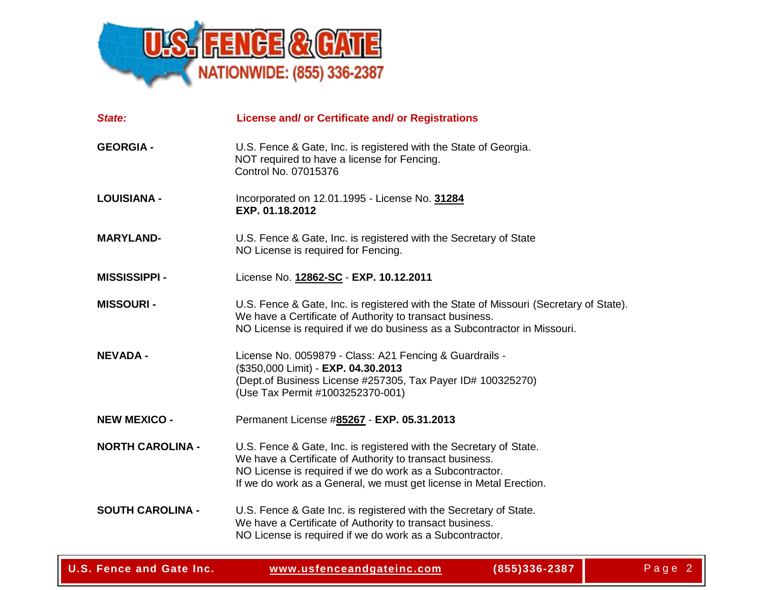

| State:                  | License and/ or Certificate and/ or Registrations                                                                                                                                                                                                                |
|-------------------------|------------------------------------------------------------------------------------------------------------------------------------------------------------------------------------------------------------------------------------------------------------------|
| <b>GEORGIA -</b>        | U.S. Fence & Gate, Inc. is registered with the State of Georgia.<br>NOT required to have a license for Fencing.<br>Control No. 07015376                                                                                                                          |
| <b>LOUISIANA -</b>      | Incorporated on 12.01.1995 - License No. 31284<br>EXP. 01.18.2012                                                                                                                                                                                                |
| <b>MARYLAND-</b>        | U.S. Fence & Gate, Inc. is registered with the Secretary of State<br>NO License is required for Fencing.                                                                                                                                                         |
| <b>MISSISSIPPI -</b>    | License No. 12862-SC - EXP. 10.12.2011                                                                                                                                                                                                                           |
| <b>MISSOURI-</b>        | U.S. Fence & Gate, Inc. is registered with the State of Missouri (Secretary of State).<br>We have a Certificate of Authority to transact business.<br>NO License is required if we do business as a Subcontractor in Missouri.                                   |
| <b>NEVADA -</b>         | License No. 0059879 - Class: A21 Fencing & Guardrails -<br>(\$350,000 Limit) - EXP. 04.30.2013<br>(Dept.of Business License #257305, Tax Payer ID# 100325270)<br>(Use Tax Permit #1003252370-001)                                                                |
| <b>NEW MEXICO -</b>     | Permanent License #85267 - EXP. 05.31.2013                                                                                                                                                                                                                       |
| <b>NORTH CAROLINA -</b> | U.S. Fence & Gate, Inc. is registered with the Secretary of State.<br>We have a Certificate of Authority to transact business.<br>NO License is required if we do work as a Subcontractor.<br>If we do work as a General, we must get license in Metal Erection. |
| <b>SOUTH CAROLINA -</b> | U.S. Fence & Gate Inc. is registered with the Secretary of State.<br>We have a Certificate of Authority to transact business.<br>NO License is required if we do work as a Subcontractor.                                                                        |